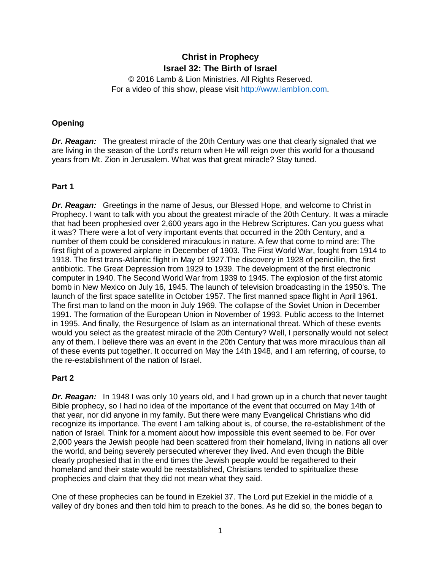# **Christ in Prophecy Israel 32: The Birth of Israel**

© 2016 Lamb & Lion Ministries. All Rights Reserved. For a video of this show, please visit [http://www.lamblion.com.](http://www.lamblion.com/)

#### **Opening**

**Dr. Reagan:** The greatest miracle of the 20th Century was one that clearly signaled that we are living in the season of the Lord's return when He will reign over this world for a thousand years from Mt. Zion in Jerusalem. What was that great miracle? Stay tuned.

### **Part 1**

*Dr. Reagan:* Greetings in the name of Jesus, our Blessed Hope, and welcome to Christ in Prophecy. I want to talk with you about the greatest miracle of the 20th Century. It was a miracle that had been prophesied over 2,600 years ago in the Hebrew Scriptures. Can you guess what it was? There were a lot of very important events that occurred in the 20th Century, and a number of them could be considered miraculous in nature. A few that come to mind are: The first flight of a powered airplane in December of 1903. The First World War, fought from 1914 to 1918. The first trans-Atlantic flight in May of 1927.The discovery in 1928 of penicillin, the first antibiotic. The Great Depression from 1929 to 1939. The development of the first electronic computer in 1940. The Second World War from 1939 to 1945. The explosion of the first atomic bomb in New Mexico on July 16, 1945. The launch of television broadcasting in the 1950's. The launch of the first space satellite in October 1957. The first manned space flight in April 1961. The first man to land on the moon in July 1969. The collapse of the Soviet Union in December 1991. The formation of the European Union in November of 1993. Public access to the Internet in 1995. And finally, the Resurgence of Islam as an international threat. Which of these events would you select as the greatest miracle of the 20th Century? Well, I personally would not select any of them. I believe there was an event in the 20th Century that was more miraculous than all of these events put together. It occurred on May the 14th 1948, and I am referring, of course, to the re-establishment of the nation of Israel.

#### **Part 2**

**Dr. Reagan:** In 1948 I was only 10 years old, and I had grown up in a church that never taught Bible prophecy, so I had no idea of the importance of the event that occurred on May 14th of that year, nor did anyone in my family. But there were many Evangelical Christians who did recognize its importance. The event I am talking about is, of course, the re-establishment of the nation of Israel. Think for a moment about how impossible this event seemed to be. For over 2,000 years the Jewish people had been scattered from their homeland, living in nations all over the world, and being severely persecuted wherever they lived. And even though the Bible clearly prophesied that in the end times the Jewish people would be regathered to their homeland and their state would be reestablished, Christians tended to spiritualize these prophecies and claim that they did not mean what they said.

One of these prophecies can be found in Ezekiel 37. The Lord put Ezekiel in the middle of a valley of dry bones and then told him to preach to the bones. As he did so, the bones began to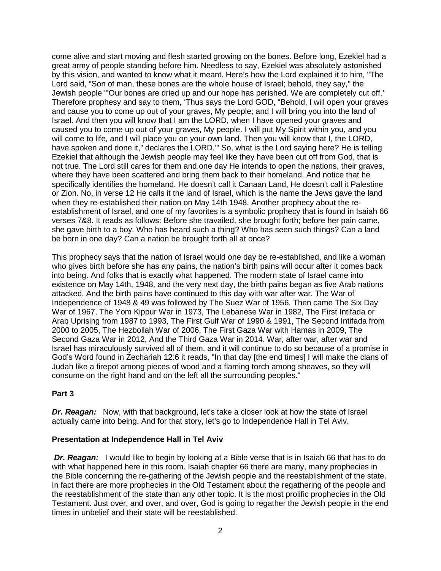come alive and start moving and flesh started growing on the bones. Before long, Ezekiel had a great army of people standing before him. Needless to say, Ezekiel was absolutely astonished by this vision, and wanted to know what it meant. Here's how the Lord explained it to him, "The Lord said, "Son of man, these bones are the whole house of Israel; behold, they say," the Jewish people "'Our bones are dried up and our hope has perished. We are completely cut off.' Therefore prophesy and say to them, 'Thus says the Lord GOD, "Behold, I will open your graves and cause you to come up out of your graves, My people; and I will bring you into the land of Israel. And then you will know that I am the LORD, when I have opened your graves and caused you to come up out of your graves, My people. I will put My Spirit within you, and you will come to life, and I will place you on your own land. Then you will know that I, the LORD, have spoken and done it," declares the LORD."" So, what is the Lord saying here? He is telling Ezekiel that although the Jewish people may feel like they have been cut off from God, that is not true. The Lord still cares for them and one day He intends to open the nations, their graves, where they have been scattered and bring them back to their homeland. And notice that he specifically identifies the homeland. He doesn't call it Canaan Land, He doesn't call it Palestine or Zion. No, in verse 12 He calls it the land of Israel, which is the name the Jews gave the land when they re-established their nation on May 14th 1948. Another prophecy about the reestablishment of Israel, and one of my favorites is a symbolic prophecy that is found in Isaiah 66 verses 7&8. It reads as follows: Before she travailed, she brought forth; before her pain came, she gave birth to a boy. Who has heard such a thing? Who has seen such things? Can a land be born in one day? Can a nation be brought forth all at once?

This prophecy says that the nation of Israel would one day be re-established, and like a woman who gives birth before she has any pains, the nation's birth pains will occur after it comes back into being. And folks that is exactly what happened. The modern state of Israel came into existence on May 14th, 1948, and the very next day, the birth pains began as five Arab nations attacked. And the birth pains have continued to this day with war after war. The War of Independence of 1948 & 49 was followed by The Suez War of 1956. Then came The Six Day War of 1967, The Yom Kippur War in 1973, The Lebanese War in 1982, The First Intifada or Arab Uprising from 1987 to 1993, The First Gulf War of 1990 & 1991, The Second Intifada from 2000 to 2005, The Hezbollah War of 2006, The First Gaza War with Hamas in 2009, The Second Gaza War in 2012, And the Third Gaza War in 2014. War, after war, after war and Israel has miraculously survived all of them, and it will continue to do so because of a promise in God's Word found in Zechariah 12:6 it reads, "In that day [the end times] I will make the clans of Judah like a firepot among pieces of wood and a flaming torch among sheaves, so they will consume on the right hand and on the left all the surrounding peoples."

#### **Part 3**

**Dr. Reagan:** Now, with that background, let's take a closer look at how the state of Israel actually came into being. And for that story, let's go to Independence Hall in Tel Aviv.

#### **Presentation at Independence Hall in Tel Aviv**

**Dr. Reagan:** I would like to begin by looking at a Bible verse that is in Isaiah 66 that has to do with what happened here in this room. Isaiah chapter 66 there are many, many prophecies in the Bible concerning the re-gathering of the Jewish people and the reestablishment of the state. In fact there are more prophecies in the Old Testament about the regathering of the people and the reestablishment of the state than any other topic. It is the most prolific prophecies in the Old Testament. Just over, and over, and over, God is going to regather the Jewish people in the end times in unbelief and their state will be reestablished.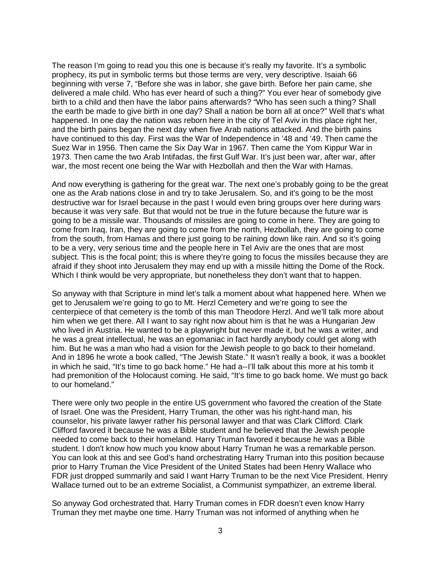The reason I'm going to read you this one is because it's really my favorite. It's a symbolic prophecy, its put in symbolic terms but those terms are very, very descriptive. Isaiah 66 beginning with verse 7, "Before she was in labor, she gave birth. Before her pain came, she delivered a male child. Who has ever heard of such a thing?" You ever hear of somebody give birth to a child and then have the labor pains afterwards? "Who has seen such a thing? Shall the earth be made to give birth in one day? Shall a nation be born all at once?" Well that's what happened. In one day the nation was reborn here in the city of Tel Aviv in this place right her, and the birth pains began the next day when five Arab nations attacked. And the birth pains have continued to this day. First was the War of Independence in '48 and '49. Then came the Suez War in 1956. Then came the Six Day War in 1967. Then came the Yom Kippur War in 1973. Then came the two Arab Intifadas, the first Gulf War. It's just been war, after war, after war, the most recent one being the War with Hezbollah and then the War with Hamas.

And now everything is gathering for the great war. The next one's probably going to be the great one as the Arab nations close in and try to take Jerusalem. So, and it's going to be the most destructive war for Israel because in the past I would even bring groups over here during wars because it was very safe. But that would not be true in the future because the future war is going to be a missile war. Thousands of missiles are going to come in here. They are going to come from Iraq, Iran, they are going to come from the north, Hezbollah, they are going to come from the south, from Hamas and there just going to be raining down like rain. And so it's going to be a very, very serious time and the people here in Tel Aviv are the ones that are most subject. This is the focal point; this is where they're going to focus the missiles because they are afraid if they shoot into Jerusalem they may end up with a missile hitting the Dome of the Rock. Which I think would be very appropriate, but nonetheless they don't want that to happen.

So anyway with that Scripture in mind let's talk a moment about what happened here. When we get to Jerusalem we're going to go to Mt. Herzl Cemetery and we're going to see the centerpiece of that cemetery is the tomb of this man Theodore Herzl. And we'll talk more about him when we get there. All I want to say right now about him is that he was a Hungarian Jew who lived in Austria. He wanted to be a playwright but never made it, but he was a writer, and he was a great intellectual, he was an egomaniac in fact hardly anybody could get along with him. But he was a man who had a vision for the Jewish people to go back to their homeland. And in 1896 he wrote a book called, "The Jewish State." It wasn't really a book, it was a booklet in which he said, "It's time to go back home." He had a--I'll talk about this more at his tomb it had premonition of the Holocaust coming. He said, "It's time to go back home. We must go back to our homeland."

There were only two people in the entire US government who favored the creation of the State of Israel. One was the President, Harry Truman, the other was his right-hand man, his counselor, his private lawyer rather his personal lawyer and that was Clark Clifford. Clark Clifford favored it because he was a Bible student and he believed that the Jewish people needed to come back to their homeland. Harry Truman favored it because he was a Bible student. I don't know how much you know about Harry Truman he was a remarkable person. You can look at this and see God's hand orchestrating Harry Truman into this position because prior to Harry Truman the Vice President of the United States had been Henry Wallace who FDR just dropped summarily and said I want Harry Truman to be the next Vice President. Henry Wallace turned out to be an extreme Socialist, a Communist sympathizer, an extreme liberal.

So anyway God orchestrated that. Harry Truman comes in FDR doesn't even know Harry Truman they met maybe one time. Harry Truman was not informed of anything when he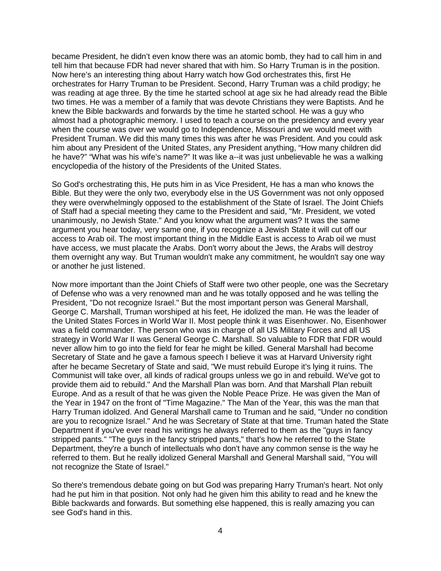became President, he didn't even know there was an atomic bomb, they had to call him in and tell him that because FDR had never shared that with him. So Harry Truman is in the position. Now here's an interesting thing about Harry watch how God orchestrates this, first He orchestrates for Harry Truman to be President. Second, Harry Truman was a child prodigy; he was reading at age three. By the time he started school at age six he had already read the Bible two times. He was a member of a family that was devote Christians they were Baptists. And he knew the Bible backwards and forwards by the time he started school. He was a guy who almost had a photographic memory. I used to teach a course on the presidency and every year when the course was over we would go to Independence, Missouri and we would meet with President Truman. We did this many times this was after he was President. And you could ask him about any President of the United States, any President anything, "How many children did he have?" "What was his wife's name?" It was like a--it was just unbelievable he was a walking encyclopedia of the history of the Presidents of the United States.

So God's orchestrating this, He puts him in as Vice President, He has a man who knows the Bible. But they were the only two, everybody else in the US Government was not only opposed they were overwhelmingly opposed to the establishment of the State of Israel. The Joint Chiefs of Staff had a special meeting they came to the President and said, "Mr. President, we voted unanimously, no Jewish State." And you know what the argument was? It was the same argument you hear today, very same one, if you recognize a Jewish State it will cut off our access to Arab oil. The most important thing in the Middle East is access to Arab oil we must have access, we must placate the Arabs. Don't worry about the Jews, the Arabs will destroy them overnight any way. But Truman wouldn't make any commitment, he wouldn't say one way or another he just listened.

Now more important than the Joint Chiefs of Staff were two other people, one was the Secretary of Defense who was a very renowned man and he was totally opposed and he was telling the President, "Do not recognize Israel." But the most important person was General Marshall, George C. Marshall, Truman worshiped at his feet, He idolized the man. He was the leader of the United States Forces in World War II. Most people think it was Eisenhower. No, Eisenhower was a field commander. The person who was in charge of all US Military Forces and all US strategy in World War II was General George C. Marshall. So valuable to FDR that FDR would never allow him to go into the field for fear he might be killed. General Marshall had become Secretary of State and he gave a famous speech I believe it was at Harvard University right after he became Secretary of State and said, "We must rebuild Europe it's lying it ruins. The Communist will take over, all kinds of radical groups unless we go in and rebuild. We've got to provide them aid to rebuild." And the Marshall Plan was born. And that Marshall Plan rebuilt Europe. And as a result of that he was given the Noble Peace Prize. He was given the Man of the Year in 1947 on the front of "Time Magazine." The Man of the Year, this was the man that Harry Truman idolized. And General Marshall came to Truman and he said, "Under no condition are you to recognize Israel." And he was Secretary of State at that time. Truman hated the State Department if you've ever read his writings he always referred to them as the "guys in fancy stripped pants." "The guys in the fancy stripped pants," that's how he referred to the State Department, they're a bunch of intellectuals who don't have any common sense is the way he referred to them. But he really idolized General Marshall and General Marshall said, "You will not recognize the State of Israel."

So there's tremendous debate going on but God was preparing Harry Truman's heart. Not only had he put him in that position. Not only had he given him this ability to read and he knew the Bible backwards and forwards. But something else happened, this is really amazing you can see God's hand in this.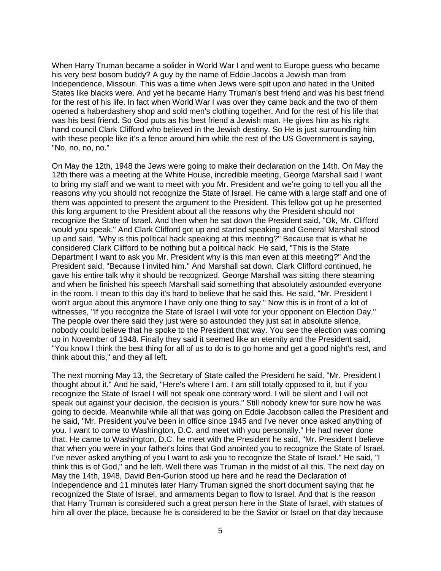When Harry Truman became a solider in World War I and went to Europe guess who became his very best bosom buddy? A guy by the name of Eddie Jacobs a Jewish man from Independence, Missouri. This was a time when Jews were spit upon and hated in the United States like blacks were. And yet he became Harry Truman's best friend and was his best friend for the rest of his life. In fact when World War I was over they came back and the two of them opened a haberdashery shop and sold men's clothing together. And for the rest of his life that was his best friend. So God puts as his best friend a Jewish man. He gives him as his right hand council Clark Clifford who believed in the Jewish destiny. So He is just surrounding him with these people like it's a fence around him while the rest of the US Government is saying, "No, no, no, no."

On May the 12th, 1948 the Jews were going to make their declaration on the 14th. On May the 12th there was a meeting at the White House, incredible meeting, George Marshall said I want to bring my staff and we want to meet with you Mr. President and we're going to tell you all the reasons why you should not recognize the State of Israel. He came with a large staff and one of them was appointed to present the argument to the President. This fellow got up he presented this long argument to the President about all the reasons why the President should not recognize the State of Israel. And then when he sat down the President said, "Ok, Mr. Clifford would you speak." And Clark Clifford got up and started speaking and General Marshall stood up and said, "Why is this political hack speaking at this meeting?" Because that is what he considered Clark Clifford to be nothing but a political hack. He said, "This is the State Department I want to ask you Mr. President why is this man even at this meeting?" And the President said, "Because I invited him." And Marshall sat down. Clark Clifford continued, he gave his entire talk why it should be recognized. George Marshall was sitting there steaming and when he finished his speech Marshall said something that absolutely astounded everyone in the room. I mean to this day it's hard to believe that he said this. He said, "Mr. President I won't argue about this anymore I have only one thing to say." Now this is in front of a lot of witnesses, "If you recognize the State of Israel I will vote for your opponent on Election Day." The people over there said they just were so astounded they just sat in absolute silence, nobody could believe that he spoke to the President that way. You see the election was coming up in November of 1948. Finally they said it seemed like an eternity and the President said, "You know I think the best thing for all of us to do is to go home and get a good night's rest, and think about this," and they all left.

The next morning May 13, the Secretary of State called the President he said, "Mr. President I thought about it." And he said, "Here's where I am. I am still totally opposed to it, but if you recognize the State of Israel I will not speak one contrary word. I will be silent and I will not speak out against your decision, the decision is yours." Still nobody knew for sure how he was going to decide. Meanwhile while all that was going on Eddie Jacobson called the President and he said, "Mr. President you've been in office since 1945 and I've never once asked anything of you. I want to come to Washington, D.C. and meet with you personally." He had never done that. He came to Washington, D.C. he meet with the President he said, "Mr. President I believe that when you were in your father's loins that God anointed you to recognize the State of Israel. I've never asked anything of you I want to ask you to recognize the State of Israel." He said, "I think this is of God," and he left. Well there was Truman in the midst of all this. The next day on May the 14th, 1948, David Ben-Gurion stood up here and he read the Declaration of Independence and 11 minutes later Harry Truman signed the short document saying that he recognized the State of Israel, and armaments began to flow to Israel. And that is the reason that Harry Truman is considered such a great person here in the State of Israel, with statues of him all over the place, because he is considered to be the Savior or Israel on that day because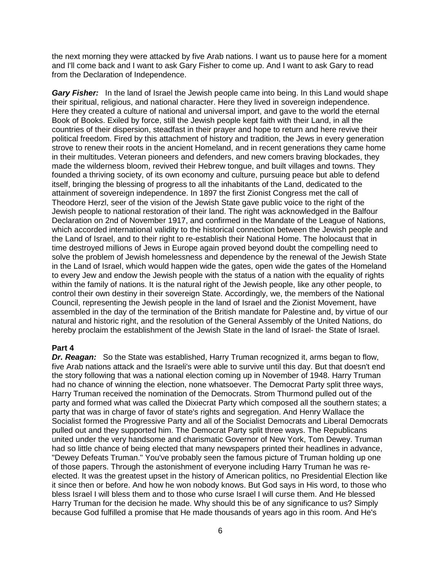the next morning they were attacked by five Arab nations. I want us to pause here for a moment and I'll come back and I want to ask Gary Fisher to come up. And I want to ask Gary to read from the Declaration of Independence.

*Gary Fisher:* In the land of Israel the Jewish people came into being. In this Land would shape their spiritual, religious, and national character. Here they lived in sovereign independence. Here they created a culture of national and universal import, and gave to the world the eternal Book of Books. Exiled by force, still the Jewish people kept faith with their Land, in all the countries of their dispersion, steadfast in their prayer and hope to return and here revive their political freedom. Fired by this attachment of history and tradition, the Jews in every generation strove to renew their roots in the ancient Homeland, and in recent generations they came home in their multitudes. Veteran pioneers and defenders, and new comers braving blockades, they made the wilderness bloom, revived their Hebrew tongue, and built villages and towns. They founded a thriving society, of its own economy and culture, pursuing peace but able to defend itself, bringing the blessing of progress to all the inhabitants of the Land, dedicated to the attainment of sovereign independence. In 1897 the first Zionist Congress met the call of Theodore Herzl, seer of the vision of the Jewish State gave public voice to the right of the Jewish people to national restoration of their land. The right was acknowledged in the Balfour Declaration on 2nd of November 1917, and confirmed in the Mandate of the League of Nations, which accorded international validity to the historical connection between the Jewish people and the Land of Israel, and to their right to re-establish their National Home. The holocaust that in time destroyed millions of Jews in Europe again proved beyond doubt the compelling need to solve the problem of Jewish homelessness and dependence by the renewal of the Jewish State in the Land of Israel, which would happen wide the gates, open wide the gates of the Homeland to every Jew and endow the Jewish people with the status of a nation with the equality of rights within the family of nations. It is the natural right of the Jewish people, like any other people, to control their own destiny in their sovereign State. Accordingly, we, the members of the National Council, representing the Jewish people in the land of Israel and the Zionist Movement, have assembled in the day of the termination of the British mandate for Palestine and, by virtue of our natural and historic right, and the resolution of the General Assembly of the United Nations, do hereby proclaim the establishment of the Jewish State in the land of Israel- the State of Israel.

#### **Part 4**

*Dr. Reagan:* So the State was established, Harry Truman recognized it, arms began to flow, five Arab nations attack and the Israeli's were able to survive until this day. But that doesn't end the story following that was a national election coming up in November of 1948. Harry Truman had no chance of winning the election, none whatsoever. The Democrat Party split three ways, Harry Truman received the nomination of the Democrats. Strom Thurmond pulled out of the party and formed what was called the Dixiecrat Party which composed all the southern states; a party that was in charge of favor of state's rights and segregation. And Henry Wallace the Socialist formed the Progressive Party and all of the Socialist Democrats and Liberal Democrats pulled out and they supported him. The Democrat Party split three ways. The Republicans united under the very handsome and charismatic Governor of New York, Tom Dewey. Truman had so little chance of being elected that many newspapers printed their headlines in advance, "Dewey Defeats Truman." You've probably seen the famous picture of Truman holding up one of those papers. Through the astonishment of everyone including Harry Truman he was reelected. It was the greatest upset in the history of American politics, no Presidential Election like it since then or before. And how he won nobody knows. But God says in His word, to those who bless Israel I will bless them and to those who curse Israel I will curse them. And He blessed Harry Truman for the decision he made. Why should this be of any significance to us? Simply because God fulfilled a promise that He made thousands of years ago in this room. And He's